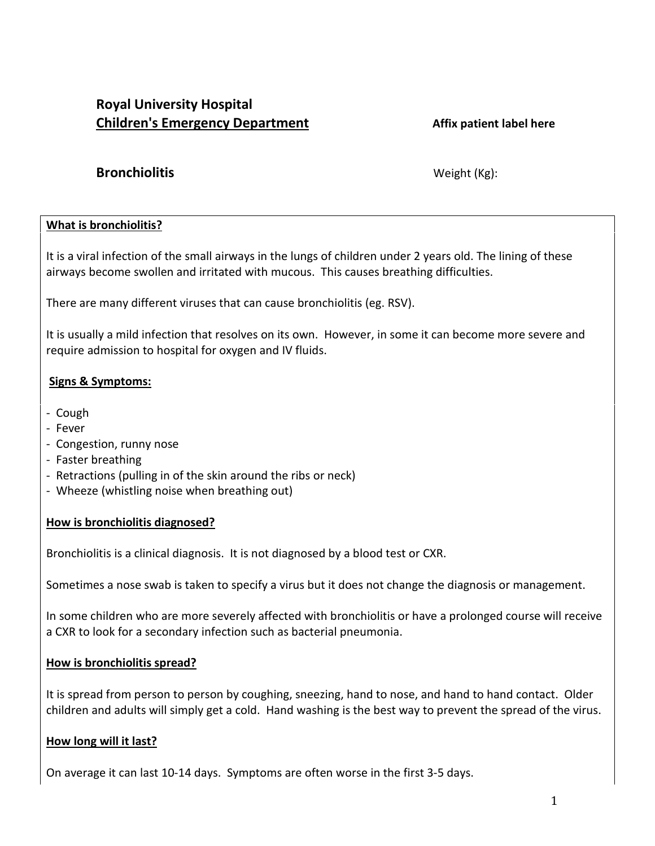# **Royal University Hospital Children's Emergency Department Affix patient label here**

# **Bronchiolitis** Weight (Kg):

### **What is bronchiolitis?**

It is a viral infection of the small airways in the lungs of children under 2 years old. The lining of these airways become swollen and irritated with mucous. This causes breathing difficulties.

There are many different viruses that can cause bronchiolitis (eg. RSV).

It is usually a mild infection that resolves on its own. However, in some it can become more severe and require admission to hospital for oxygen and IV fluids.

# **Signs & Symptoms:**

- Cough
- Fever
- Congestion, runny nose
- Faster breathing
- Retractions (pulling in of the skin around the ribs or neck)
- Wheeze (whistling noise when breathing out)

### **How is bronchiolitis diagnosed?**

Bronchiolitis is a clinical diagnosis. It is not diagnosed by a blood test or CXR.

Sometimes a nose swab is taken to specify a virus but it does not change the diagnosis or management.

In some children who are more severely affected with bronchiolitis or have a prolonged course will receive a CXR to look for a secondary infection such as bacterial pneumonia.

## **How is bronchiolitis spread?**

It is spread from person to person by coughing, sneezing, hand to nose, and hand to hand contact. Older children and adults will simply get a cold. Hand washing is the best way to prevent the spread of the virus.

## **How long will it last?**

On average it can last 10-14 days. Symptoms are often worse in the first 3-5 days.